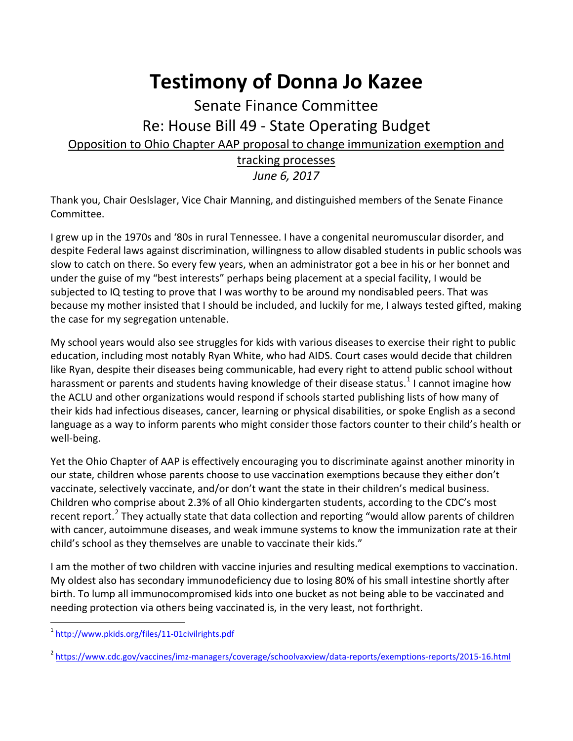## **Testimony of Donna Jo Kazee**

## Senate Finance Committee Re: House Bill 49 - State Operating Budget Opposition to Ohio Chapter AAP proposal to change immunization exemption and tracking processes

*June 6, 2017*

Thank you, Chair Oeslslager, Vice Chair Manning, and distinguished members of the Senate Finance Committee.

I grew up in the 1970s and '80s in rural Tennessee. I have a congenital neuromuscular disorder, and despite Federal laws against discrimination, willingness to allow disabled students in public schools was slow to catch on there. So every few years, when an administrator got a bee in his or her bonnet and under the guise of my "best interests" perhaps being placement at a special facility, I would be subjected to IQ testing to prove that I was worthy to be around my nondisabled peers. That was because my mother insisted that I should be included, and luckily for me, I always tested gifted, making the case for my segregation untenable.

My school years would also see struggles for kids with various diseases to exercise their right to public education, including most notably Ryan White, who had AIDS. Court cases would decide that children like Ryan, despite their diseases being communicable, had every right to attend public school without harassment or parents and students having knowledge of their disease status.<sup>[1](#page-0-0)</sup> I cannot imagine how the ACLU and other organizations would respond if schools started publishing lists of how many of their kids had infectious diseases, cancer, learning or physical disabilities, or spoke English as a second language as a way to inform parents who might consider those factors counter to their child's health or well-being.

Yet the Ohio Chapter of AAP is effectively encouraging you to discriminate against another minority in our state, children whose parents choose to use vaccination exemptions because they either don't vaccinate, selectively vaccinate, and/or don't want the state in their children's medical business. Children who comprise about 2.3% of all Ohio kindergarten students, according to the CDC's most recent report.<sup>[2](#page-0-1)</sup> They actually state that data collection and reporting "would allow parents of children with cancer, autoimmune diseases, and weak immune systems to know the immunization rate at their child's school as they themselves are unable to vaccinate their kids."

I am the mother of two children with vaccine injuries and resulting medical exemptions to vaccination. My oldest also has secondary immunodeficiency due to losing 80% of his small intestine shortly after birth. To lump all immunocompromised kids into one bucket as not being able to be vaccinated and needing protection via others being vaccinated is, in the very least, not forthright.

<span id="page-0-0"></span> <sup>1</sup> <http://www.pkids.org/files/11-01civilrights.pdf>

<span id="page-0-1"></span><sup>2</sup> <https://www.cdc.gov/vaccines/imz-managers/coverage/schoolvaxview/data-reports/exemptions-reports/2015-16.html>